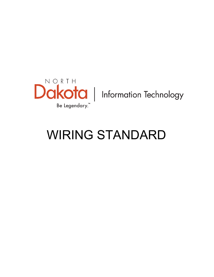

# WIRING STANDARD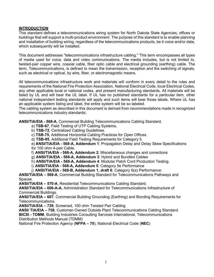# **INTRODUCTION**

This standard defines a telecommunications wiring system for North Dakota State Agencies, offices or buildings that will support a multi-product environment. The purpose of this standard is to enable planning and installation of building wiring, regardless of the telecommunications products, be it voice and/or data, which subsequently will be installed.

This document addresses "telecommunications infrastructure cabling." This term encompasses all types of media used for voice, data and video communications. The media includes, but is not limited to, twisted-pair copper wire, coaxial cable, fiber optic cable and electrical grounding (earthing) cable. The term, Telecommunications, is defined to mean the transmission, reception and the switching of signals, such as electrical or optical, by wire, fiber, or electromagnetic means.

All telecommunications infrastructure work and materials will conform in every detail to the rules and requirements of the National Fire Protection Association, National Electrical Code, local Electrical Codes, any other applicable local or national codes, and present manufacturing standards. All materials will be listed by UL and will bear the UL label. If UL has no published standards for a particular item, other national independent testing standards will apply and such items will bear those labels. Where UL has an applicable system listing and label, the entire system will be so labeled.

The cabling system as described in this document is derived from recommendations made in recognized telecommunications industry standards:

**ANSI/TIA/EIA - 568-A**, Commercial Building Telecommunications Cabling Standard.

- a) **TSB-67**, Field Testing of UTP Cabling Systems.
- b) **TSB-72**, Centralized Cabling Guidelines.

c) **TSB-75**, Additional Horizontal Cabling Practices for Open Offices.

d) **TSB-95**, Additional Field Testing Requirements for Category 5.

e) **ANSI/TIA/EIA - 568-A, Addendum 1**: Propagation Delay and Delay Skew Specifications for 100 ohm 4-pair Cable.

f) **ANSI/TIA/EIA - 568-A, Addendum 2**: Miscellaneous changes and corrections

g) **ANSI/TIA/EIA - 568-A, Addendum 3**: Hybrid and Bundled Cables

h) **ANSI/TIA/EIA - 568-A, Addendum 4**: Modular Patch Cord Production Testing.

i) **ANSI/TIA/EIA - 568-A, Addendum 5**: Category 5e Performance

j) **ANSI/TIA/EIA - 568-B, Addendum 1, draft 6**: Category 6(a) Performance:

**ANSI/TIA/EIA – 569-A**, Commercial Building Standard for Telecommunications Pathways and Spaces.

**ANSI/TIA/EIA – 570-A**, Residential Telecommunications Cabling Standard.

**ANSI/TIA/EIA – 606-A-A**, Administration Standard for Telecommunications Infrastructure of Commercial Buildings.

**ANSI/TIA/EIA – 607**, Commercial Building Grounding (Earthing) and Bonding Requirements for Telecommunications.

**ANSI/TIA/EIA – 729**, Screened, 100 ohm Twisted Pair Cabling

**ANSI/ TIA/EIA – 758**, Customer-Owned Outside Plant Telecommunications Cabling Standard. **BICSI - TDMM**, Building Industries Consulting Services International, Telecommunications Distribution Methods Manual (TDMM)

National Fire Protection Agency (**NFPA – 70**), National Electrical Code (**NEC**)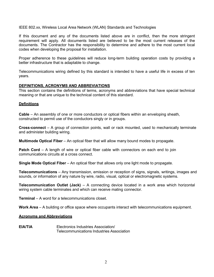IEEE 802.xx, Wireless Local Area Network (WLAN) Standards and Technologies

If this document and any of the documents listed above are in conflict, then the more stringent requirement will apply. All documents listed are believed to be the most current releases of the documents. The Contractor has the responsibility to determine and adhere to the most current local codes when developing the proposal for installation.

Proper adherence to these guidelines will reduce long-term building operation costs by providing a better infrastructure that is adaptable to change.

Telecommunications wiring defined by this standard is intended to have a useful life in excess of ten years.

## **DEFINITIONS, ACRONYMS AND ABBREVIATIONS**

This section contains the definitions of terms, acronyms and abbreviations that have special technical meaning or that are unique to the technical content of this standard.

## **Definitions**

**Cable** – An assembly of one or more conductors or optical fibers within an enveloping sheath, constructed to permit use of the conductors singly or in groups.

**Cross-connect** – A group of connection points, wall or rack mounted, used to mechanically terminate and administer building wiring.

**Multimode Optical Fiber** – An optical fiber that will allow many bound modes to propagate.

**Patch Cord** – A length of wire or optical fiber cable with connectors on each end to join communications circuits at a cross connect.

**Single Mode Optical Fiber** – An optical fiber that allows only one light mode to propagate.

**Telecommunications** – Any transmission, emission or reception of signs, signals, writings, images and sounds, or information of any nature by wire, radio, visual, optical or electromagnetic systems.

**Telecommunication Outlet (Jack)** – A connecting device located in a work area which horizontal wiring system cable terminates and which can receive mating connector.

**Terminal** – A word for a telecommunications closet.

**Work Area** – A building or office space where occupants interact with telecommunications equipment.

#### **Acronyms and Abbreviations**

**EIA/TIA** Electronics Industries Association/ Telecommunications Industries Association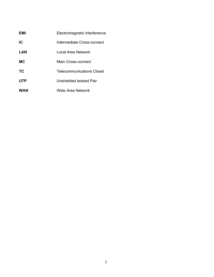| EMI        | Electromagnetic Interference     |
|------------|----------------------------------|
| IC.        | Intermediate Cross-connect       |
| LAN        | I ocal Area Network              |
| <b>MC</b>  | Main Cross-connect               |
| ТC         | <b>Telecommunications Closet</b> |
| <b>UTP</b> | Unshielded twisted Pair          |
| WAN        | Wide Area Network                |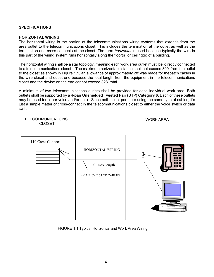# **SPECIFICATIONS**

#### **HORIZONTAL WIRING**

TELECOMMUNICATIONS

The horizontal wiring is the portion of the telecommunications wiring systems that extends from the area outlet to the telecommunications closet. This includes the termination at the outlet as well as the termination and cross connects at the closet. The term *horizontal* is used because typically the wire in this part of the wiring system runs horizontally along the floor(s) or ceiling(s) of a building.

The horizontal wiring shall be a star topology, meaning each work area outlet must be directly connected to a telecommunications closet. The maximum horizontal distance shall not exceed 300' from the outlet to the closet as shown in Figure 1.1, an allowance of approximately 28' was made for thepatch cables in the wire closet and outlet end because the total length from the equipment in the telecommunications closet and the devise on the end cannot exceed 328' total.

A minimum of two telecommunications outlets shall be provided for each individual work area. Both outlets shall be supported by a **4-pair Unshielded Twisted Pair (UTP) Category 6.** Each of these outlets may be used for either voice and/or data. Since both outlet ports are using the same type of cables, it's just a simple matter of cross-connect in the telecommunications closet to either the voice switch or data switch.

WORK AREA



FIGURE 1.1 Typical Horizontal and Work Area Wiring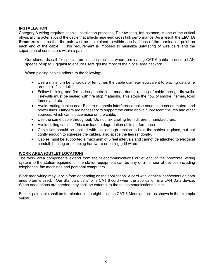## **INSTALLATION**

Category 6 wiring requires special installation practices. Pair twisting, for instance, is one of the critical physical characteristics of the cable that affects near-end cross talk performance. As a result, the **EIA/TIA Standard** requires that the pair twist be maintained to within one-half inch of the termination point on each end of the cable. This requirement is imposed to minimize untwisting of wire pairs and the This requirement is imposed to minimize untwisting of wire pairs and the separation of conductors within a pair.

Our standards call for special termination practices when terminating CAT 6 cable to ensure LAN speeds of up to 1 gigabit to ensure users get the most of their local area network.

When placing cables adhere to the following:

- Use a minimum bend radius of ten times the cable diameter equivalent to placing data wire around a 1" conduit.
- Follow building and fire codes penetrations made during routing of cable through firewalls. Firewalls must be sealed with fire stop materials. This stops the flow of smoke, flames, toxic fumes and etc.
- Avoid routing cables near Electro-magnetic interference noise sources, such as motors and power lines. Hangers are necessary to support the cable above fluorescent fixtures and other sources, which can induce noise on the cable.
- Use the same cable throughout. Do not mix cabling from different manufacturers.
- Avoid coiling cables. This can lead to degradation of its performance.
- Cable ties should be applied with just enough tension to hold the cables in place, but not tightly enough to squeeze the cables, also space the ties randomly.
- Cables must be supported a maximum of 5 feet intervals and cannot be attached to electrical conduit, heating or plumbing hardware or ceiling grid wires.

#### **WORK AREA (OUTLET LOCATION)**

The work area components extend from the telecommunications outlet end of the horizontal wiring system to the station equipment. The station equipment can be any of a number of devices including telephones, fax machines and personal computers.

Work area wiring may vary in form depending on the application. A cord with identical connectors on both ends often is used. Our Standard calls for a CAT 6 cord when the application is a LAN Data device. When adaptations are needed they shall be external to the telecommunications outlet.

Each 4-pair cable shall be terminated in an eight-position CAT 6 Modular Jack as shown in the example below.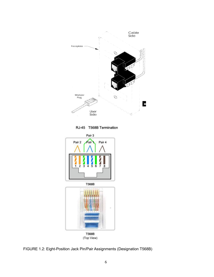

RJ-45 T568B Termination



(Top View)

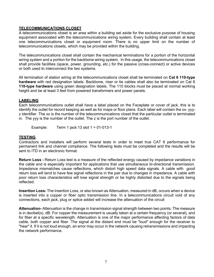# **TELECOMMUNICATIONS CLOSET**

A telecommunications closet is an area within a building set aside for the exclusive purpose of housing equipment associated with the telecommunications wiring system. Every building shall contain at least one telecommunications closet or equipment room. There is no upper limit on the number of telecommunications closets, which may be provided within the building.

The telecommunications closet shall contain the mechanical terminations for a portion of the horizontal wiring system and a portion for the backbone wiring system. In this usage, the telecommunications closet shall provide facilities (space, power, grounding, etc.) for the passive (cross-connect) or active devices or both used to interconnect the two systems.

All termination of station wiring at the telecommunications closet shall be terminated on **Cat 6 110-type hardware** with red designation labels. Backbone, riser or tie cables shall also be terminated on Cat 6 **110-type hardware** using green designation labels. The 110 blocks must be placed at normal working height and be at least 3 feet from powered transformers and power panels.

## **LABELING**

Each telecommunications outlet shall have a label placed on the Faceplate or cover of jack, this is to identify the outlet for record keeping as well as for maps or floor plans. Each label will contain the xx- yyyz identifier. The xx is the number of the telecommunications closet that the particular outlet is terminated in. The yyy is the number of the outlet. The z is the port number of the outlet.

Example: Term 1 jack 13 slot  $1 = 01-013-1$ 

# **TESTING**

Contractors and installers will perform several tests in order to meet true CAT 6 performance for permanent link and channel compliance. The following tests must be completed and the results will be sent to ITD in an electronic format:

**Return Loss -** Return Loss test is a measure of the reflected energy caused by impedance variations in the cable and is especially important for applications that use simultaneous bi-directional transmission. Impedance mismatches cause reflections, which distort high speed data signals. A cable with good return loss will tend to have few signal reflections in the pair due to changes in impedance. A cable with poor return loss characteristics will lose signal strength or be highly distorted due to the signals being reflected.

**Insertion Loss-** The Insertion Loss, or also known as Attenuation, measured in dB, occurs when a device is inserted into a copper or fiber optic transmission line. In a telecommunications circuit void of any connections, each jack, plug or splice added will increase the attenuation of the circuit

**Attenuation-** Attenuation is the change in transmission signal strength between two points. The measure is in decibel(s), dB. For copper the measurement is usually taken at a certain frequency (or several), and for fiber at a specific wavelength. Attenuation is one of the major performance affecting factors of data cable, both copper and fiber. The signal at the distant end must be "loud" enough for the receiver to "hear" it. If it is not loud enough, an error may occur in the network causing retransmissions and impacting the network performance.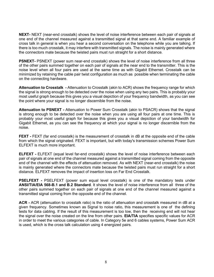**NEXT-** NEXT (near-end crosstalk) shows the level of noise interference between each pair of signals at one end of the channel measured against a transmitted signal at that same end. A familiar example of cross talk in general is when you hear a second conversation on the telephone while you are talking. If there is too much crosstalk, it may interfere with transmitted signals. The noise is mainly generated where the connectors mate because the twisted pairs must run straight for a short distance.

**PSNEXT-** PSNEXT (power sum near-end crosstalk) shows the level of noise interference from all three of the other pairs summed together on each pair of signals at the near end to the transmitter. This is the noise level when all four pairs are used at the same time as with Gigabit Ethernet. Crosstalk can be minimized by retaining the cable pair twist configuration as much as possible when terminating the cable on the connecting hardware.

**Attenuation to Crosstalk -** Attenuation to Crosstalk (akin to ACR) shows the frequency range for which the signal is strong enough to be detected over the noise when using any two pairs. This is probably your most useful graph because this gives you a visual depiction of your frequency bandwidth, as you can see the point where your signal is no longer discernible from the noise.

**Attenuation to PSNEXT -** Attenuation to Power Sum Crosstalk (akin to PSACR) shows that the signal is strong enough to be detected over the noise when you are using all four pairs at one time. This is probably your most useful graph for because this gives you a visual depiction of your bandwidth for Gigabit Ethernet, as you can see the frequency at which your signal is no longer discernible from the noise.

**FEXT** - FEXT (far end crosstalk) is the measurement of crosstalk in dB at the opposite end of the cable from which the signal originated. FEXT is important, but with today's transmission schemes Power Sum ELFEXT is much more important.

**ELFEXT -** ELFEXT (equal level far-end crosstalk) shows the level of noise interference between each pair of signals at one end of the channel measured against a transmitted signal coming from the opposite end of the channel with the effects of attenuation removed. As with NEXT (near-end crosstalk) the noise is mainly generated where the connectors mate because the twisted pairs must run straight for a short distance. ELFEXT removes the impact of insertion loss on Far End Crosstalk.

**PSELFEXT** - PSELFEXT (power sum equal level crosstalk) is one of the mandatory tests under **ANSI/TIA/EIA 568-B.1 and B.2 Standard**. It shows the level of noise interference from all three of the other pairs summed together on each pair of signals at one end of the channel measured against a transmitted signal coming from the opposite end of the channel.

**ACR -** ACR (attenuation to crosstalk ratio) is the ratio of attenuation and crosstalk measured in dB at a given frequency. Sometimes known as Signal to noise ratio, this measurement is one of the defining tests for data cabling. If the result of this measurement is too low, then the receiving end will not hear the signal over the noise created on the line from other pairs. **EIA/TIA** specifies specific values for ACR in order to meet the various categories of cable. In Category 5e and 6 cables systems, Power Sum ACR is used, which is the cross talk calculation using 4 energized pairs.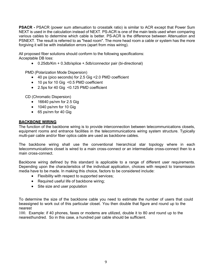**PSACR -** PSACR (power sum attenuation to crosstalk ratio) is similar to ACR except that Power Sum NEXT is used in the calculation instead of NEXT. PS-ACR is one of the main tests used when comparing various cables to determine which cable is better. PS-ACR is the difference between Attenuation and PSNEXT. The result is referred to as "head room". The more head room a cable or system has the more forgiving it will be with installation errors (apart from miss wiring).

All proposed fiber solutions should conform to the following specifications: Acceptable DB loss:

• 0.25db/Km + 0.3db/splice +.5db/connector pair (bi-directional)

PMD (Polarization Mode Dispersion)

- 40 ps (pico seconds) for 2.5 Gig <2.0 PMD coefficient
- 10 ps for 10 Gig <0.5 PMD coefficient
- 2.5ps for 40 Gig <0.125 PMD coefficient

CD (Chromatic Dispersion)

- 16640 ps/nm for 2.5 Gig
- 1040 ps/nm for 10 Gig
- 65 ps/nm for 40 Gig

# **BACKBONE WIRING**

The function of the backbone wiring is to provide interconnection between telecommunications closets, equipment rooms and entrance facilities in the telecommunications wiring system structure. Typically multi-pair cable and/or fiber optics cable are used as backbone cables.

The backbone wiring shall use the conventional hierarchical star topology where in each telecommunications closet is wired to a main cross-connect or an intermediate cross-connect then to a main cross-connect.

Backbone wiring defined by this standard is applicable to a range of different user requirements. Depending upon the characteristics of the individual application, choices with respect to transmission media have to be made. In making this choice, factors to be considered include:

- Flexibility with respect to supported services;
- Required useful life of backbone wiring:
- Site size and user population

To determine the size of the backbone cable you need to estimate the number of users that could beassigned to work out of this particular closet. You then double that figure and round up to the nearest

100. Example: if 40 phones, faxes or modems are utilized, double it to 80 and round up to the nearesthundred. So in this case, a hundred pair cable should be sufficient.